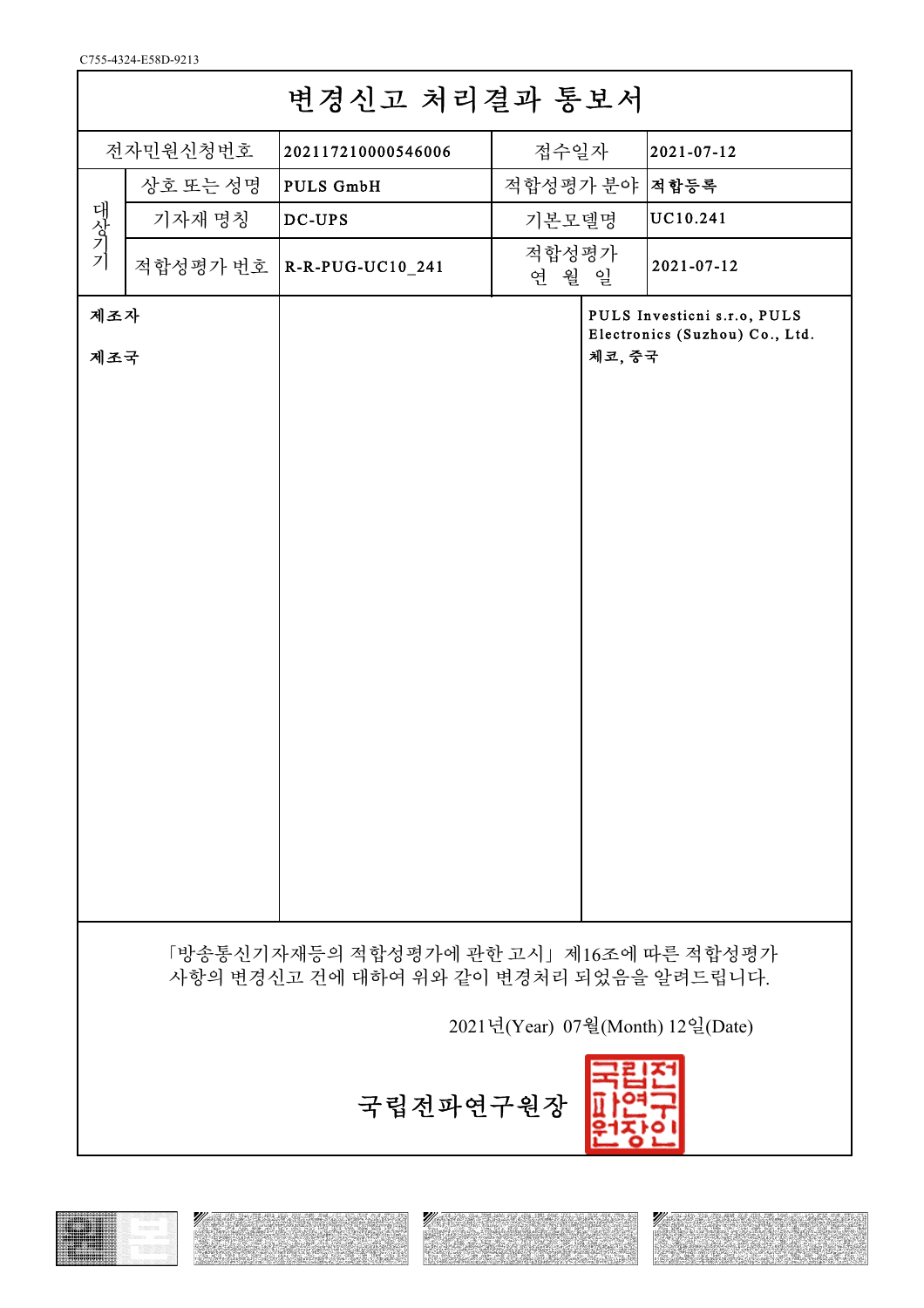C755-4324-E58D-9213

| 변경신고 처리결과 통보서                                                                     |          |                                  |                |        |                                                               |  |  |
|-----------------------------------------------------------------------------------|----------|----------------------------------|----------------|--------|---------------------------------------------------------------|--|--|
| 전자민원신청번호                                                                          |          | 202117210000546006               | 접수일자           |        | 2021-07-12                                                    |  |  |
| 대상기기                                                                              | 상호 또는 성명 | <b>PULS GmbH</b>                 | 적합성평가 분야  적합등록 |        |                                                               |  |  |
|                                                                                   | 기자재 명칭   | $DC-UPS$                         | 기본모델명          |        | UC10.241                                                      |  |  |
|                                                                                   |          | 적합성평가 번호   R-R-PUG-UC10_241      | 적합성평가<br>연 월 일 |        | 2021-07-12                                                    |  |  |
| 제조자<br>제조국                                                                        |          |                                  |                | 체코, 중국 | PULS Investicni s.r.o, PULS<br>Electronics (Suzhou) Co., Ltd. |  |  |
| 「방송통신기자재등의 적합성평가에 관한 고시」제16조에 따른 적합성평가<br>사항의 변경신고 건에 대하여 위와 같이 변경처리 되었음을 알려드립니다. |          |                                  |                |        |                                                               |  |  |
|                                                                                   |          | 2021년(Year) 07월(Month) 12일(Date) |                |        |                                                               |  |  |
|                                                                                   |          | 국립전파연구원장                         |                |        |                                                               |  |  |

Ø





Ŋ

 $\sqrt{2}$